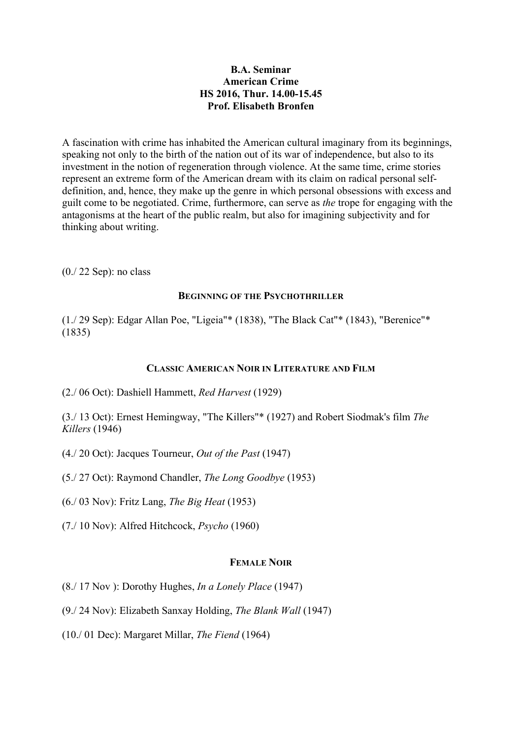# **B.A. Seminar American Crime HS 2016, Thur. 14.00-15.45 Prof. Elisabeth Bronfen**

A fascination with crime has inhabited the American cultural imaginary from its beginnings, speaking not only to the birth of the nation out of its war of independence, but also to its investment in the notion of regeneration through violence. At the same time, crime stories represent an extreme form of the American dream with its claim on radical personal selfdefinition, and, hence, they make up the genre in which personal obsessions with excess and guilt come to be negotiated. Crime, furthermore, can serve as *the* trope for engaging with the antagonisms at the heart of the public realm, but also for imagining subjectivity and for thinking about writing.

(0./ 22 Sep): no class

### **BEGINNING OF THE PSYCHOTHRILLER**

(1./ 29 Sep): Edgar Allan Poe, "Ligeia"\* (1838), "The Black Cat"\* (1843), "Berenice"\* (1835)

## **CLASSIC AMERICAN NOIR IN LITERATURE AND FILM**

(2./ 06 Oct): Dashiell Hammett, *Red Harvest* (1929)

(3./ 13 Oct): Ernest Hemingway, "The Killers"\* (1927) and Robert Siodmak's film *The Killers* (1946)

- (4./ 20 Oct): Jacques Tourneur, *Out of the Past* (1947)
- (5./ 27 Oct): Raymond Chandler, *The Long Goodbye* (1953)
- (6./ 03 Nov): Fritz Lang, *The Big Heat* (1953)
- (7./ 10 Nov): Alfred Hitchcock, *Psycho* (1960)

# **FEMALE NOIR**

- (8./ 17 Nov ): Dorothy Hughes, *In a Lonely Place* (1947)
- (9./ 24 Nov): Elizabeth Sanxay Holding, *The Blank Wall* (1947)
- (10./ 01 Dec): Margaret Millar, *The Fiend* (1964)